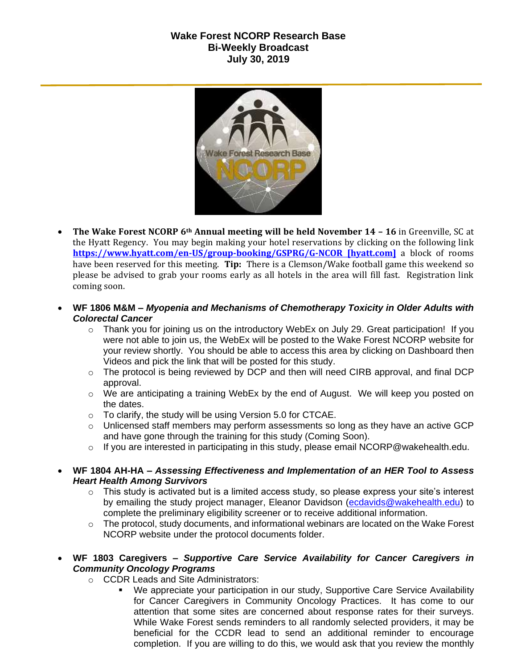## **Wake Forest NCORP Research Base Bi-Weekly Broadcast July 30, 2019**



- **The Wake Forest NCORP 6th Annual meeting will be held November 14 – 16** in Greenville, SC at the Hyatt Regency. You may begin making your hotel reservations by clicking on the following link **[https://www.hyatt.com/en-US/group-booking/GSPRG/G-NCOR \[hyatt.com\]](https://urldefense.proofpoint.com/v2/url?u=https-3A__www.hyatt.com_en-2DUS_group-2Dbooking_GSPRG_G-2DNCOR&d=DwMF-g&c=yzGiX0CSJAqkDTmENO9LmP6KfPQitNABR9M66gsTb5w&r=TnCUknn7SuuKiZZ9xYiqqVGRRW44n91mFcfkV4OTZdE&m=nMl5QpnTqZImfgmQv3WVuZH_olwfmfBEebqvflDwGVA&s=Jokja0iM_Zy6iN0skc6kDqNVUzyUA2YmjssaQyPU1jY&e=)** a block of rooms have been reserved for this meeting. **Tip:** There is a Clemson/Wake football game this weekend so please be advised to grab your rooms early as all hotels in the area will fill fast. Registration link coming soon.
- **WF 1806 M&M –** *Myopenia and Mechanisms of Chemotherapy Toxicity in Older Adults with Colorectal Cancer*
	- $\circ$  Thank you for joining us on the introductory WebEx on July 29. Great participation! If you were not able to join us, the WebEx will be posted to the Wake Forest NCORP website for your review shortly. You should be able to access this area by clicking on Dashboard then Videos and pick the link that will be posted for this study.
	- o The protocol is being reviewed by DCP and then will need CIRB approval, and final DCP approval.
	- o We are anticipating a training WebEx by the end of August. We will keep you posted on the dates.
	- o To clarify, the study will be using Version 5.0 for CTCAE.
	- o Unlicensed staff members may perform assessments so long as they have an active GCP and have gone through the training for this study (Coming Soon).
	- $\circ$  If you are interested in participating in this study, please email NCORP@wakehealth.edu.
- **WF 1804 AH-HA –** *Assessing Effectiveness and Implementation of an HER Tool to Assess Heart Health Among Survivors*
	- o This study is activated but is a limited access study, so please express your site's interest by emailing the study project manager, Eleanor Davidson [\(ecdavids@wakehealth.edu\)](mailto:ecdavids@wakehealth.edu) to complete the preliminary eligibility screener or to receive additional information.
	- $\circ$  The protocol, study documents, and informational webinars are located on the Wake Forest NCORP website under the protocol documents folder.
- **WF 1803 Caregivers –** *Supportive Care Service Availability for Cancer Caregivers in Community Oncology Programs*
	- o CCDR Leads and Site Administrators:
		- We appreciate your participation in our study, Supportive Care Service Availability for Cancer Caregivers in Community Oncology Practices. It has come to our attention that some sites are concerned about response rates for their surveys. While Wake Forest sends reminders to all randomly selected providers, it may be beneficial for the CCDR lead to send an additional reminder to encourage completion. If you are willing to do this, we would ask that you review the monthly